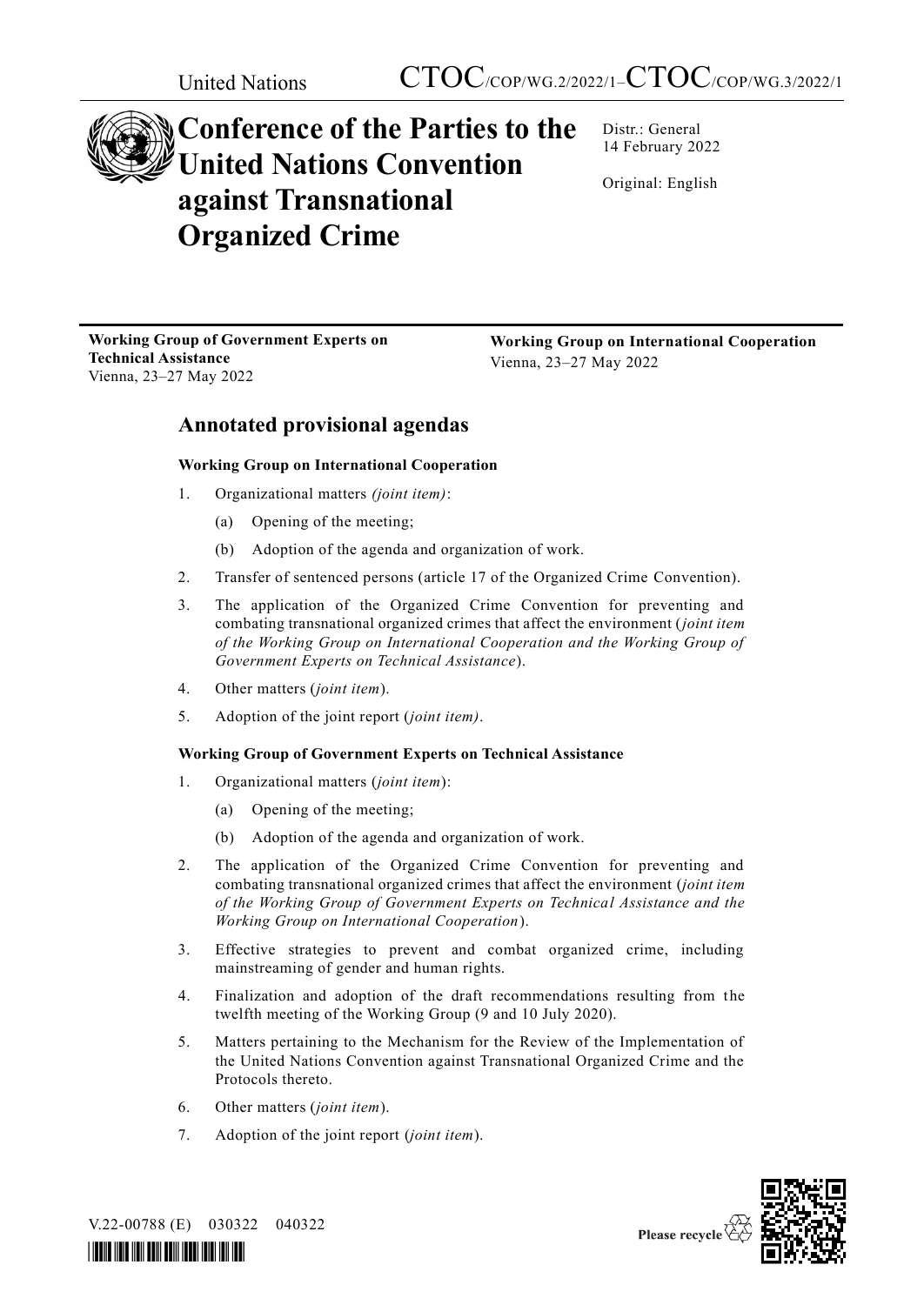

# **Conference of the Parties to the United Nations Convention against Transnational Organized Crime**

Distr.: General 14 February 2022

Original: English

**Working Group of Government Experts on Technical Assistance**  Vienna, 23–27 May 2022

**Working Group on International Cooperation** Vienna, 23–27 May 2022

## **Annotated provisional agendas**

#### **Working Group on International Cooperation**

- 1. Organizational matters *(joint item)*:
	- (a) Opening of the meeting;
	- (b) Adoption of the agenda and organization of work.
- 2. Transfer of sentenced persons (article 17 of the Organized Crime Convention).
- 3. The application of the Organized Crime Convention for preventing and combating transnational organized crimes that affect the environment (*joint item of the Working Group on International Cooperation and the Working Group of Government Experts on Technical Assistance*).
- 4. Other matters (*joint item*).
- 5. Adoption of the joint report (*joint item)*.

#### **Working Group of Government Experts on Technical Assistance**

- 1. Organizational matters (*joint item*):
	- (a) Opening of the meeting;
	- (b) Adoption of the agenda and organization of work.
- 2. The application of the Organized Crime Convention for preventing and combating transnational organized crimes that affect the environment (*joint item of the Working Group of Government Experts on Technical Assistance and the Working Group on International Cooperation*).
- 3. Effective strategies to prevent and combat organized crime, including mainstreaming of gender and human rights.
- 4. Finalization and adoption of the draft recommendations resulting from the twelfth meeting of the Working Group (9 and 10 July 2020).
- 5. Matters pertaining to the Mechanism for the Review of the Implementation of the United Nations Convention against Transnational Organized Crime and the Protocols thereto.
- 6. Other matters (*joint item*).
- 7. Adoption of the joint report (*joint item*).



V.22-00788 (E) 030322 040322

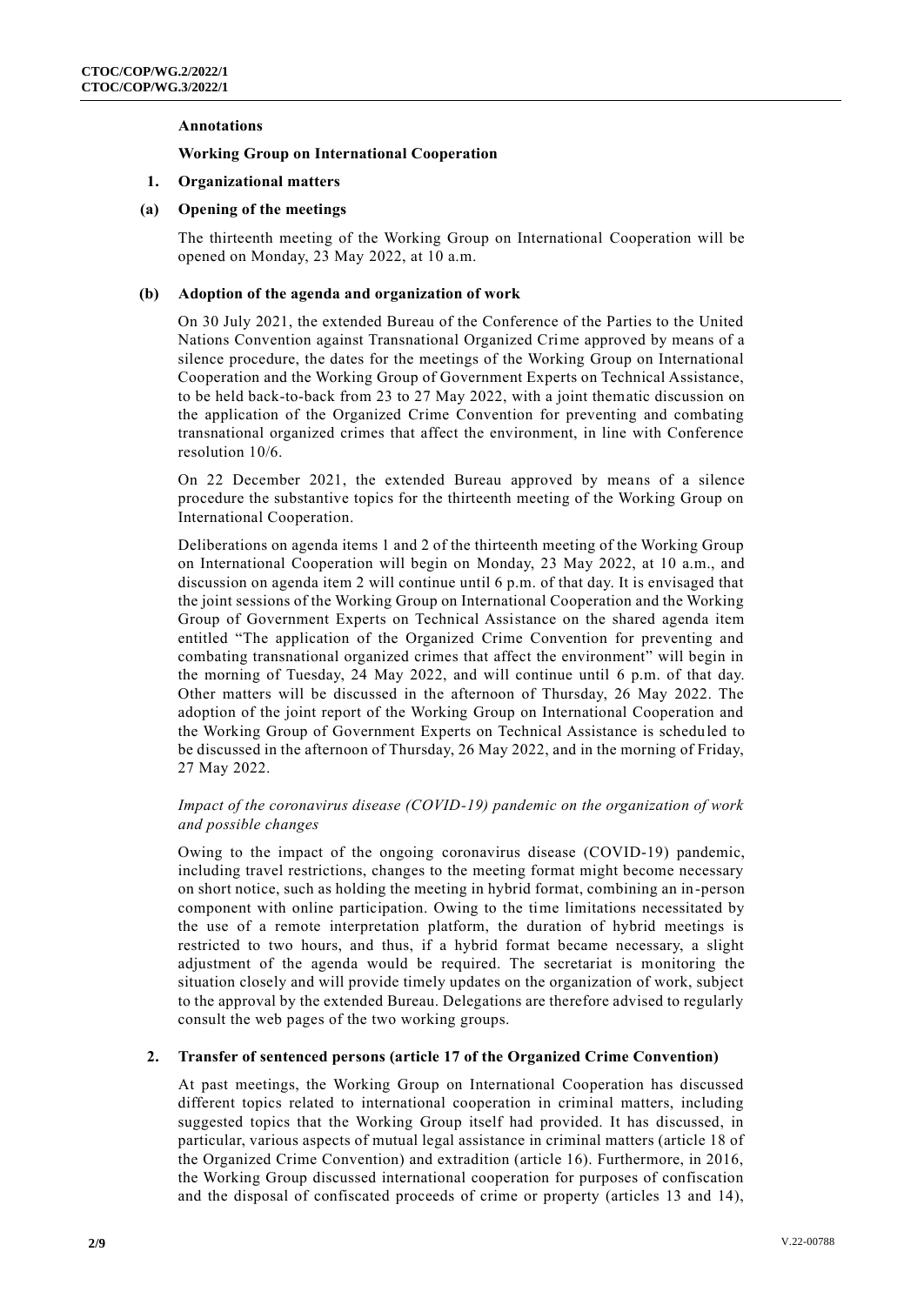#### **Annotations**

#### **Working Group on International Cooperation**

#### **1. Organizational matters**

#### **(a) Opening of the meetings**

The thirteenth meeting of the Working Group on International Cooperation will be opened on Monday, 23 May 2022, at 10 a.m.

#### **(b) Adoption of the agenda and organization of work**

On 30 July 2021, the extended Bureau of the Conference of the Parties to the United Nations Convention against Transnational Organized Crime approved by means of a silence procedure, the dates for the meetings of the Working Group on International Cooperation and the Working Group of Government Experts on Technical Assistance, to be held back-to-back from 23 to 27 May 2022, with a joint thematic discussion on the application of the Organized Crime Convention for preventing and combating transnational organized crimes that affect the environment, in line with Conference resolution 10/6.

On 22 December 2021, the extended Bureau approved by means of a silence procedure the substantive topics for the thirteenth meeting of the Working Group on International Cooperation.

Deliberations on agenda items 1 and 2 of the thirteenth meeting of the Working Group on International Cooperation will begin on Monday, 23 May 2022, at 10 a.m., and discussion on agenda item 2 will continue until 6 p.m. of that day. It is envisaged that the joint sessions of the Working Group on International Cooperation and the Working Group of Government Experts on Technical Assistance on the shared agenda item entitled "The application of the Organized Crime Convention for preventing and combating transnational organized crimes that affect the environment" will begin in the morning of Tuesday, 24 May 2022, and will continue until 6 p.m. of that day. Other matters will be discussed in the afternoon of Thursday, 26 May 2022. The adoption of the joint report of the Working Group on International Cooperation and the Working Group of Government Experts on Technical Assistance is schedu led to be discussed in the afternoon of Thursday, 26 May 2022, and in the morning of Friday, 27 May 2022.

#### *Impact of the coronavirus disease (COVID-19) pandemic on the organization of work and possible changes*

Owing to the impact of the ongoing coronavirus disease (COVID-19) pandemic, including travel restrictions, changes to the meeting format might become necessary on short notice, such as holding the meeting in hybrid format, combining an in-person component with online participation. Owing to the time limitations necessitated by the use of a remote interpretation platform, the duration of hybrid meetings is restricted to two hours, and thus, if a hybrid format became necessary, a slight adjustment of the agenda would be required. The secretariat is monitoring the situation closely and will provide timely updates on the organization of work, subject to the approval by the extended Bureau. Delegations are therefore advised to regularly consult the web pages of the two working groups.

#### **2. Transfer of sentenced persons (article 17 of the Organized Crime Convention)**

At past meetings, the Working Group on International Cooperation has discussed different topics related to international cooperation in criminal matters, including suggested topics that the Working Group itself had provided. It has discussed, in particular, various aspects of mutual legal assistance in criminal matters (article 18 of the Organized Crime Convention) and extradition (article 16). Furthermore, in 2016, the Working Group discussed international cooperation for purposes of confiscation and the disposal of confiscated proceeds of crime or property (articles 13 and 14),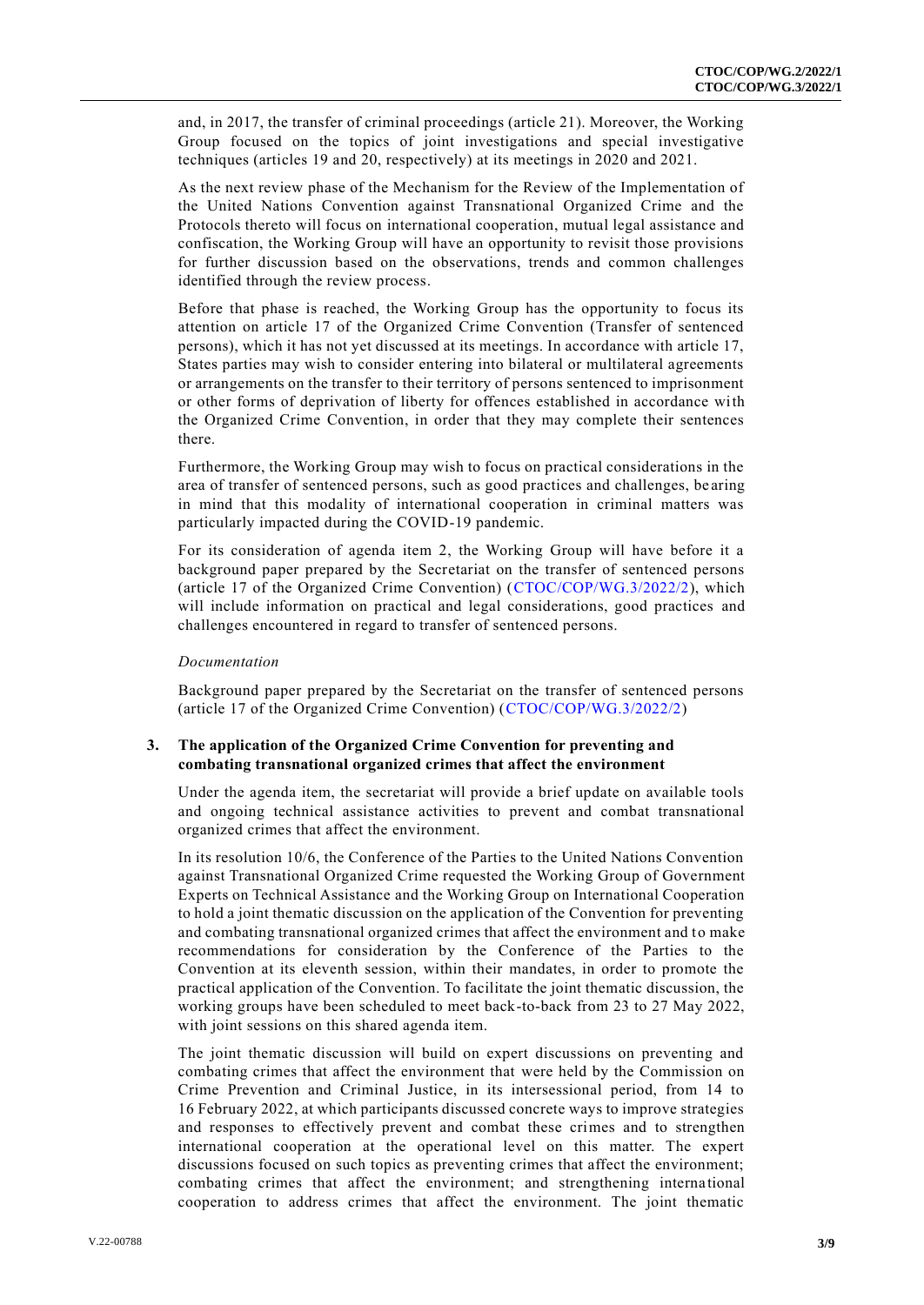and, in 2017, the transfer of criminal proceedings (article 21). Moreover, the Working Group focused on the topics of joint investigations and special investigative techniques (articles 19 and 20, respectively) at its meetings in 2020 and 2021.

As the next review phase of the Mechanism for the Review of the Implementation of the United Nations Convention against Transnational Organized Crime and the Protocols thereto will focus on international cooperation, mutual legal assistance and confiscation, the Working Group will have an opportunity to revisit those provisions for further discussion based on the observations, trends and common challenges identified through the review process.

Before that phase is reached, the Working Group has the opportunity to focus its attention on article 17 of the Organized Crime Convention (Transfer of sentenced persons), which it has not yet discussed at its meetings. In accordance with article 17, States parties may wish to consider entering into bilateral or multilateral agreements or arrangements on the transfer to their territory of persons sentenced to imprisonment or other forms of deprivation of liberty for offences established in accordance with the Organized Crime Convention, in order that they may complete their sentences there.

Furthermore, the Working Group may wish to focus on practical considerations in the area of transfer of sentenced persons, such as good practices and challenges, be aring in mind that this modality of international cooperation in criminal matters was particularly impacted during the COVID-19 pandemic.

For its consideration of agenda item 2, the Working Group will have before it a background paper prepared by the Secretariat on the transfer of sentenced persons (article 17 of the Organized Crime Convention) [\(CTOC/COP/WG.3/2022/2\)](http://undocs.org/CTOC/COP/WG.3/2022/2), which will include information on practical and legal considerations, good practices and challenges encountered in regard to transfer of sentenced persons.

#### *Documentation*

Background paper prepared by the Secretariat on the transfer of sentenced persons (article 17 of the Organized Crime Convention) [\(CTOC/COP/WG.3/2022/2\)](http://undocs.org/CTOC/COP/WG.3/2022/2)

#### **3. The application of the Organized Crime Convention for preventing and combating transnational organized crimes that affect the environment**

Under the agenda item, the secretariat will provide a brief update on available tools and ongoing technical assistance activities to prevent and combat transnational organized crimes that affect the environment.

In its resolution 10/6, the Conference of the Parties to the United Nations Convention against Transnational Organized Crime requested the Working Group of Government Experts on Technical Assistance and the Working Group on International Cooperation to hold a joint thematic discussion on the application of the Convention for preventing and combating transnational organized crimes that affect the environment and to make recommendations for consideration by the Conference of the Parties to the Convention at its eleventh session, within their mandates, in order to promote the practical application of the Convention. To facilitate the joint thematic discussion, the working groups have been scheduled to meet back-to-back from 23 to 27 May 2022, with joint sessions on this shared agenda item.

The joint thematic discussion will build on expert discussions on preventing and combating crimes that affect the environment that were held by the Commission on Crime Prevention and Criminal Justice, in its intersessional period, from 14 to 16 February 2022, at which participants discussed concrete ways to improve strategies and responses to effectively prevent and combat these crimes and to strengthen international cooperation at the operational level on this matter. The expert discussions focused on such topics as preventing crimes that affect the environment; combating crimes that affect the environment; and strengthening interna tional cooperation to address crimes that affect the environment. The joint thematic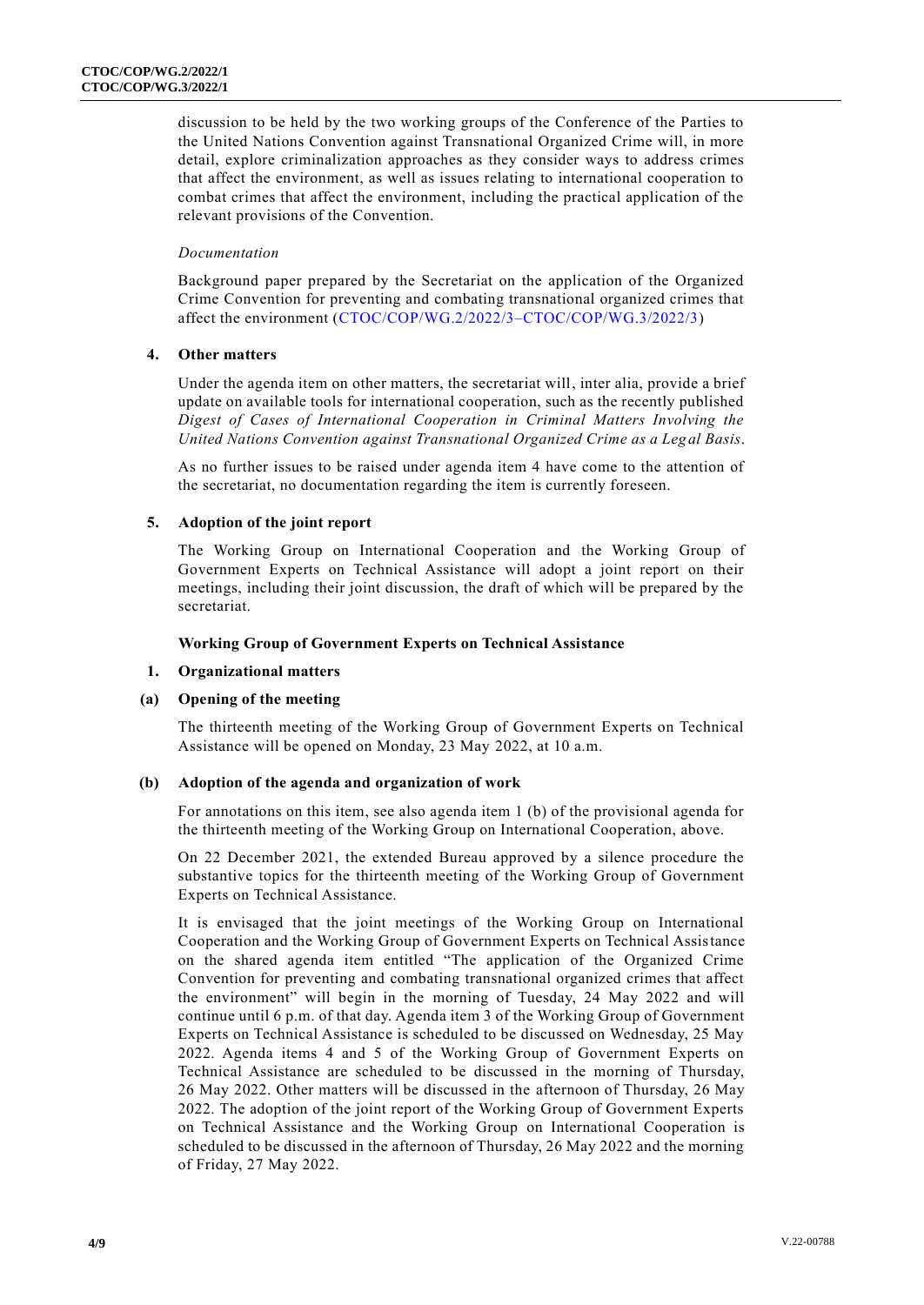discussion to be held by the two working groups of the Conference of the Parties to the United Nations Convention against Transnational Organized Crime will, in more detail, explore criminalization approaches as they consider ways to address crimes that affect the environment, as well as issues relating to international cooperation to combat crimes that affect the environment, including the practical application of the relevant provisions of the Convention.

#### *Documentation*

Background paper prepared by the Secretariat on the application of the Organized Crime Convention for preventing and combating transnational organized crimes that affect the environment [\(CTOC/COP/WG.2/2022/3–CTOC/COP/WG.3/2022/3\)](http://undocs.org/CTOC/COP/WG.2/2022/3–CTOC/COP/WG.3/2022/3)

#### **4. Other matters**

Under the agenda item on other matters, the secretariat will, inter alia, provide a brief update on available tools for international cooperation, such as the recently published *Digest of Cases of International Cooperation in Criminal Matters Involving the United Nations Convention against Transnational Organized Crime as a Legal Basis*.

As no further issues to be raised under agenda item 4 have come to the attention of the secretariat, no documentation regarding the item is currently foreseen.

#### **5. Adoption of the joint report**

The Working Group on International Cooperation and the Working Group of Government Experts on Technical Assistance will adopt a joint report on their meetings, including their joint discussion, the draft of which will be prepared by the secretariat.

#### **Working Group of Government Experts on Technical Assistance**

#### **1. Organizational matters**

#### **(a) Opening of the meeting**

The thirteenth meeting of the Working Group of Government Experts on Technical Assistance will be opened on Monday, 23 May 2022, at 10 a.m.

#### **(b) Adoption of the agenda and organization of work**

For annotations on this item, see also agenda item 1 (b) of the provisional agenda for the thirteenth meeting of the Working Group on International Cooperation, above.

On 22 December 2021, the extended Bureau approved by a silence procedure the substantive topics for the thirteenth meeting of the Working Group of Government Experts on Technical Assistance.

It is envisaged that the joint meetings of the Working Group on International Cooperation and the Working Group of Government Experts on Technical Assistance on the shared agenda item entitled "The application of the Organized Crime Convention for preventing and combating transnational organized crimes that affect the environment" will begin in the morning of Tuesday, 24 May 2022 and will continue until 6 p.m. of that day. Agenda item 3 of the Working Group of Government Experts on Technical Assistance is scheduled to be discussed on Wednesday, 25 May 2022. Agenda items 4 and 5 of the Working Group of Government Experts on Technical Assistance are scheduled to be discussed in the morning of Thursday, 26 May 2022. Other matters will be discussed in the afternoon of Thursday, 26 May 2022. The adoption of the joint report of the Working Group of Government Experts on Technical Assistance and the Working Group on International Cooperation is scheduled to be discussed in the afternoon of Thursday, 26 May 2022 and the morning of Friday, 27 May 2022.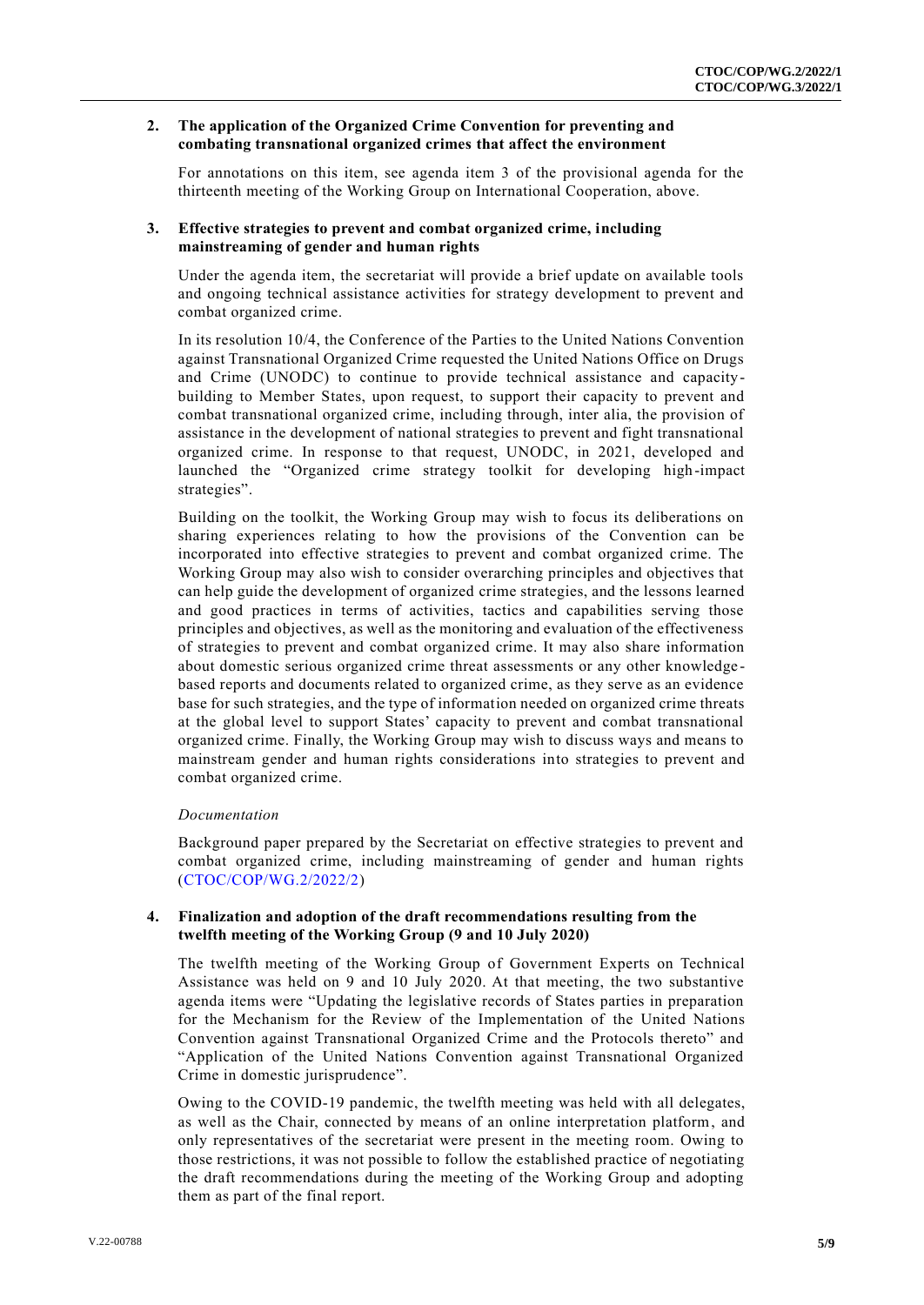#### **2. The application of the Organized Crime Convention for preventing and combating transnational organized crimes that affect the environment**

For annotations on this item, see agenda item 3 of the provisional agenda for the thirteenth meeting of the Working Group on International Cooperation, above.

#### **3. Effective strategies to prevent and combat organized crime, including mainstreaming of gender and human rights**

Under the agenda item, the secretariat will provide a brief update on available tools and ongoing technical assistance activities for strategy development to prevent and combat organized crime.

In its resolution 10/4, the Conference of the Parties to the United Nations Convention against Transnational Organized Crime requested the United Nations Office on Drugs and Crime (UNODC) to continue to provide technical assistance and capacitybuilding to Member States, upon request, to support their capacity to prevent and combat transnational organized crime, including through, inter alia, the provision of assistance in the development of national strategies to prevent and fight transnational organized crime. In response to that request, UNODC, in 2021, developed and launched the "Organized crime strategy toolkit for developing high-impact strategies".

Building on the toolkit, the Working Group may wish to focus its deliberations on sharing experiences relating to how the provisions of the Convention can be incorporated into effective strategies to prevent and combat organized crime. The Working Group may also wish to consider overarching principles and objectives that can help guide the development of organized crime strategies, and the lessons learned and good practices in terms of activities, tactics and capabilities serving those principles and objectives, as well as the monitoring and evaluation of the effectiveness of strategies to prevent and combat organized crime. It may also share information about domestic serious organized crime threat assessments or any other knowledge based reports and documents related to organized crime, as they serve as an evidence base for such strategies, and the type of information needed on organized crime threats at the global level to support States' capacity to prevent and combat transnational organized crime. Finally, the Working Group may wish to discuss ways and means to mainstream gender and human rights considerations into strategies to prevent and combat organized crime.

#### *Documentation*

Background paper prepared by the Secretariat on effective strategies to prevent and combat organized crime, including mainstreaming of gender and human rights [\(CTOC/COP/WG.2/2022/2\)](http://undocs.org/CTOC/COP/WG.2/2022/2)

#### **4. Finalization and adoption of the draft recommendations resulting from the twelfth meeting of the Working Group (9 and 10 July 2020)**

The twelfth meeting of the Working Group of Government Experts on Technical Assistance was held on 9 and 10 July 2020. At that meeting, the two substantive agenda items were "Updating the legislative records of States parties in preparation for the Mechanism for the Review of the Implementation of the United Nations Convention against Transnational Organized Crime and the Protocols thereto" and "Application of the United Nations Convention against Transnational Organized Crime in domestic jurisprudence".

Owing to the COVID-19 pandemic, the twelfth meeting was held with all delegates, as well as the Chair, connected by means of an online interpretation platform, and only representatives of the secretariat were present in the meeting room. Owing to those restrictions, it was not possible to follow the established practice of negotiating the draft recommendations during the meeting of the Working Group and adopting them as part of the final report.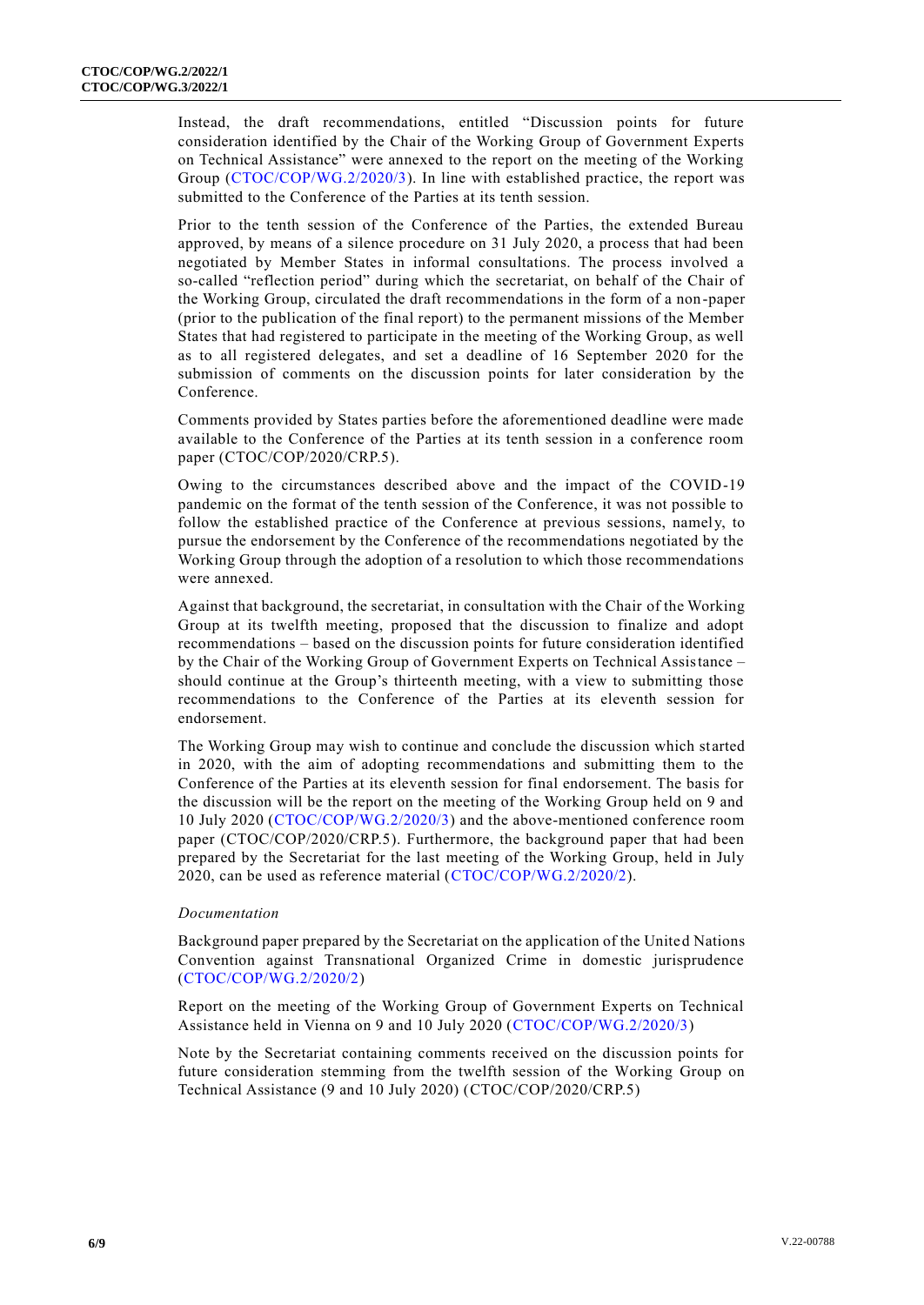Instead, the draft recommendations, entitled "Discussion points for future consideration identified by the Chair of the Working Group of Government Experts on Technical Assistance" were annexed to the report on the meeting of the Working Group [\(CTOC/COP/WG.2/2020/3\)](http://undocs.org/CTOC/COP/WG.2/2020/3). In line with established practice, the report was submitted to the Conference of the Parties at its tenth session.

Prior to the tenth session of the Conference of the Parties, the extended Bureau approved, by means of a silence procedure on 31 July 2020, a process that had been negotiated by Member States in informal consultations. The process involved a so-called "reflection period" during which the secretariat, on behalf of the Chair of the Working Group, circulated the draft recommendations in the form of a non-paper (prior to the publication of the final report) to the permanent missions of the Member States that had registered to participate in the meeting of the Working Group, as well as to all registered delegates, and set a deadline of 16 September 2020 for the submission of comments on the discussion points for later consideration by the Conference.

Comments provided by States parties before the aforementioned deadline were made available to the Conference of the Parties at its tenth session in a conference room paper (CTOC/COP/2020/CRP.5).

Owing to the circumstances described above and the impact of the COVID-19 pandemic on the format of the tenth session of the Conference, it was not possible to follow the established practice of the Conference at previous sessions, namely, to pursue the endorsement by the Conference of the recommendations negotiated by the Working Group through the adoption of a resolution to which those recommendations were annexed.

Against that background, the secretariat, in consultation with the Chair of the Working Group at its twelfth meeting, proposed that the discussion to finalize and adopt recommendations – based on the discussion points for future consideration identified by the Chair of the Working Group of Government Experts on Technical Assistance – should continue at the Group's thirteenth meeting, with a view to submitting those recommendations to the Conference of the Parties at its eleventh session for endorsement.

The Working Group may wish to continue and conclude the discussion which st arted in 2020, with the aim of adopting recommendations and submitting them to the Conference of the Parties at its eleventh session for final endorsement. The basis for the discussion will be the report on the meeting of the Working Group held on 9 and 10 July 2020 [\(CTOC/COP/WG.2/2020/3\)](http://undocs.org/CTOC/COP/WG.2/2020/3) and the above-mentioned conference room paper (CTOC/COP/2020/CRP.5). Furthermore, the background paper that had been prepared by the Secretariat for the last meeting of the Working Group, held in July 2020, can be used as reference material [\(CTOC/COP/WG.2/2020/2\)](http://undocs.org/CTOC/COP/WG.2/2020/2).

#### *Documentation*

Background paper prepared by the Secretariat on the application of the United Nations Convention against Transnational Organized Crime in domestic jurisprudence [\(CTOC/COP/WG.2/2020/2\)](http://undocs.org/CTOC/COP/WG.2/2020/2)

Report on the meeting of the Working Group of Government Experts on Technical Assistance held in Vienna on 9 and 10 July 2020 [\(CTOC/COP/WG.2/2020/3\)](http://undocs.org/CTOC/COP/WG.2/2020/3)

Note by the Secretariat containing comments received on the discussion points for future consideration stemming from the twelfth session of the Working Group on Technical Assistance (9 and 10 July 2020) (CTOC/COP/2020/CRP.5)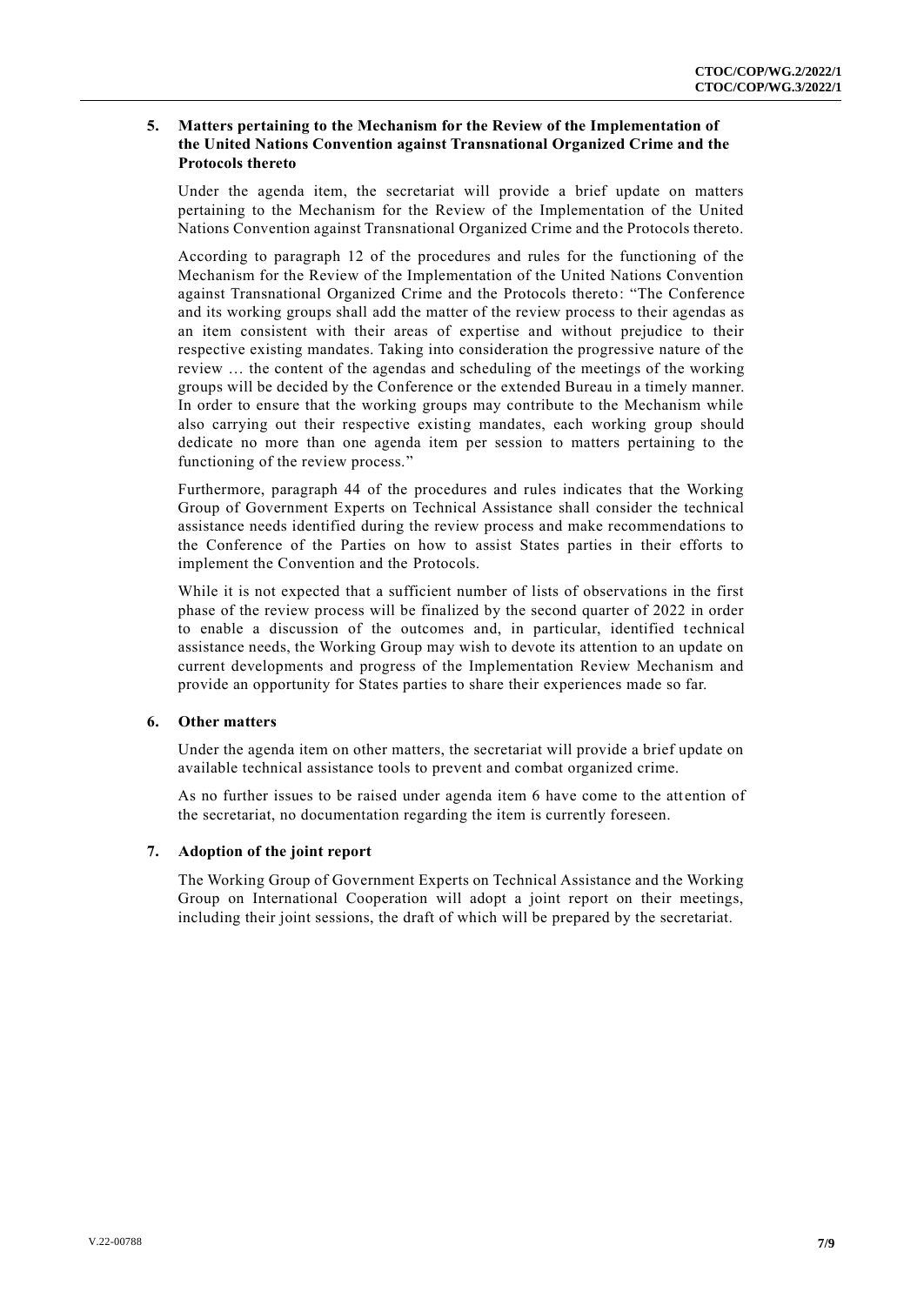#### **5. Matters pertaining to the Mechanism for the Review of the Implementation of the United Nations Convention against Transnational Organized Crime and the Protocols thereto**

Under the agenda item, the secretariat will provide a brief update on matters pertaining to the Mechanism for the Review of the Implementation of the United Nations Convention against Transnational Organized Crime and the Protocols thereto.

According to paragraph 12 of the procedures and rules for the functioning of the Mechanism for the Review of the Implementation of the United Nations Convention against Transnational Organized Crime and the Protocols thereto: "The Conference and its working groups shall add the matter of the review process to their agendas as an item consistent with their areas of expertise and without prejudice to their respective existing mandates. Taking into consideration the progressive nature of the review … the content of the agendas and scheduling of the meetings of the working groups will be decided by the Conference or the extended Bureau in a timely manner. In order to ensure that the working groups may contribute to the Mechanism while also carrying out their respective existing mandates, each working group should dedicate no more than one agenda item per session to matters pertaining to the functioning of the review process."

Furthermore, paragraph 44 of the procedures and rules indicates that the Working Group of Government Experts on Technical Assistance shall consider the technical assistance needs identified during the review process and make recommendations to the Conference of the Parties on how to assist States parties in their efforts to implement the Convention and the Protocols.

While it is not expected that a sufficient number of lists of observations in the first phase of the review process will be finalized by the second quarter of 2022 in order to enable a discussion of the outcomes and, in particular, identified technical assistance needs, the Working Group may wish to devote its attention to an update on current developments and progress of the Implementation Review Mechanism and provide an opportunity for States parties to share their experiences made so far.

#### **6. Other matters**

Under the agenda item on other matters, the secretariat will provide a brief update on available technical assistance tools to prevent and combat organized crime.

As no further issues to be raised under agenda item 6 have come to the attention of the secretariat, no documentation regarding the item is currently foreseen.

#### **7. Adoption of the joint report**

The Working Group of Government Experts on Technical Assistance and the Working Group on International Cooperation will adopt a joint report on their meetings, including their joint sessions, the draft of which will be prepared by the secretariat.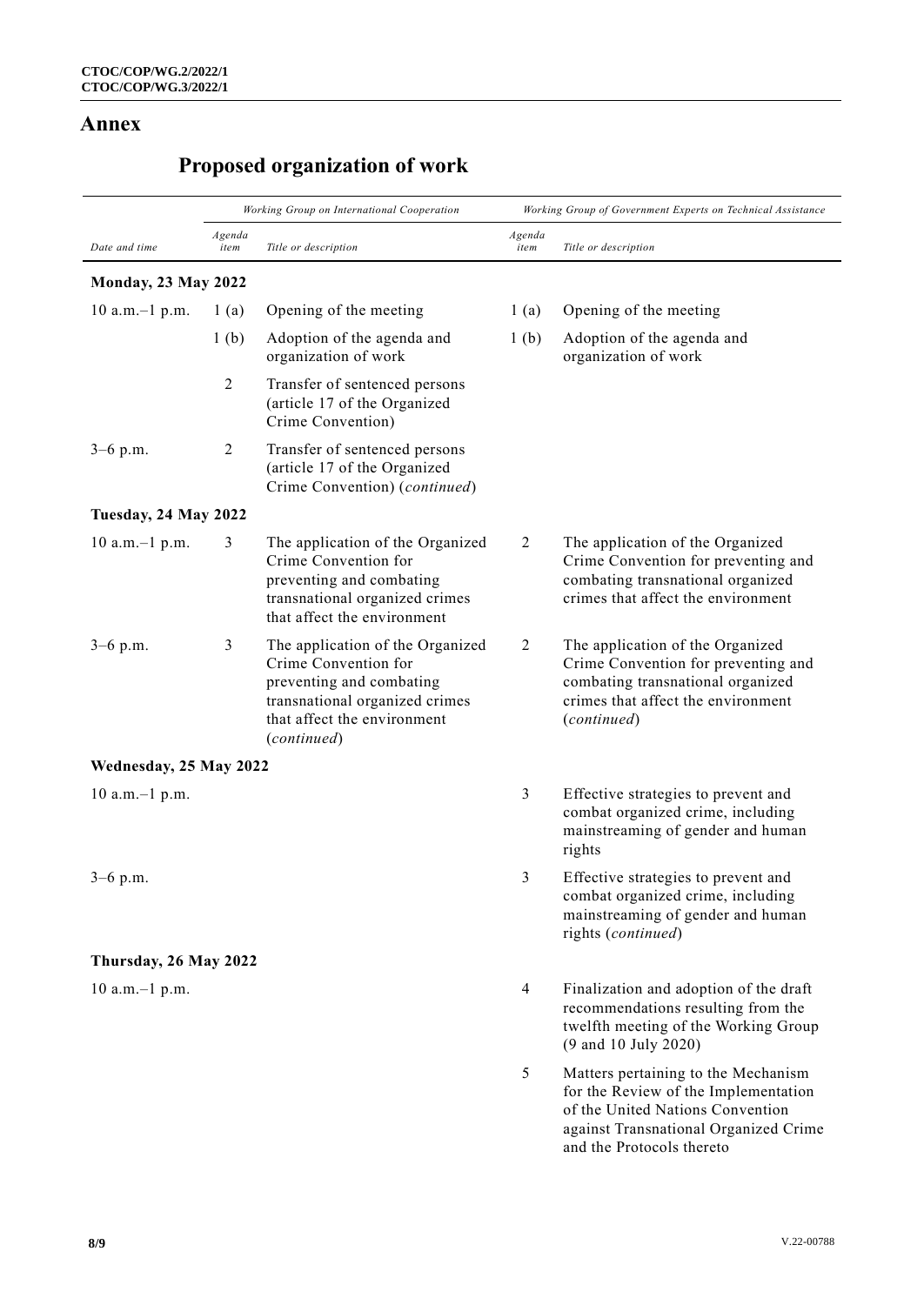### **Annex**

## **Proposed organization of work**

| Date and time              | Working Group on International Cooperation |                                                                                                                                                                      | Working Group of Government Experts on Technical Assistance |                                                                                                                                                                                       |
|----------------------------|--------------------------------------------|----------------------------------------------------------------------------------------------------------------------------------------------------------------------|-------------------------------------------------------------|---------------------------------------------------------------------------------------------------------------------------------------------------------------------------------------|
|                            | Agenda<br>item                             | Title or description                                                                                                                                                 | Agenda<br>item                                              | Title or description                                                                                                                                                                  |
| <b>Monday, 23 May 2022</b> |                                            |                                                                                                                                                                      |                                                             |                                                                                                                                                                                       |
| $10$ a.m. $-1$ p.m.        | 1(a)                                       | Opening of the meeting                                                                                                                                               | 1(a)                                                        | Opening of the meeting                                                                                                                                                                |
|                            | 1 <sub>(b)</sub>                           | Adoption of the agenda and<br>organization of work                                                                                                                   | 1 <sub>(b)</sub>                                            | Adoption of the agenda and<br>organization of work                                                                                                                                    |
|                            | $\overline{2}$                             | Transfer of sentenced persons<br>(article 17 of the Organized<br>Crime Convention)                                                                                   |                                                             |                                                                                                                                                                                       |
| $3-6$ p.m.                 | $\overline{2}$                             | Transfer of sentenced persons<br>(article 17 of the Organized<br>Crime Convention) (continued)                                                                       |                                                             |                                                                                                                                                                                       |
| Tuesday, 24 May 2022       |                                            |                                                                                                                                                                      |                                                             |                                                                                                                                                                                       |
| $10$ a.m. $-1$ p.m.        | 3                                          | The application of the Organized<br>Crime Convention for<br>preventing and combating<br>transnational organized crimes<br>that affect the environment                | $\overline{2}$                                              | The application of the Organized<br>Crime Convention for preventing and<br>combating transnational organized<br>crimes that affect the environment                                    |
| $3-6$ p.m.                 | 3                                          | The application of the Organized<br>Crime Convention for<br>preventing and combating<br>transnational organized crimes<br>that affect the environment<br>(continued) | 2                                                           | The application of the Organized<br>Crime Convention for preventing and<br>combating transnational organized<br>crimes that affect the environment<br>(continued)                     |
| Wednesday, 25 May 2022     |                                            |                                                                                                                                                                      |                                                             |                                                                                                                                                                                       |
| $10$ a.m. $-1$ p.m.        |                                            |                                                                                                                                                                      | 3                                                           | Effective strategies to prevent and<br>combat organized crime, including<br>mainstreaming of gender and human<br>rights                                                               |
| $3-6$ p.m.                 |                                            |                                                                                                                                                                      | 3                                                           | Effective strategies to prevent and<br>combat organized crime, including<br>mainstreaming of gender and human<br>rights (continued)                                                   |
| Thursday, 26 May 2022      |                                            |                                                                                                                                                                      |                                                             |                                                                                                                                                                                       |
| $10$ a.m. $-1$ p.m.        |                                            |                                                                                                                                                                      | $\overline{4}$                                              | Finalization and adoption of the draft<br>recommendations resulting from the<br>twelfth meeting of the Working Group<br>(9 and 10 July 2020)                                          |
|                            |                                            |                                                                                                                                                                      | 5                                                           | Matters pertaining to the Mechanism<br>for the Review of the Implementation<br>of the United Nations Convention<br>against Transnational Organized Crime<br>and the Protocols thereto |